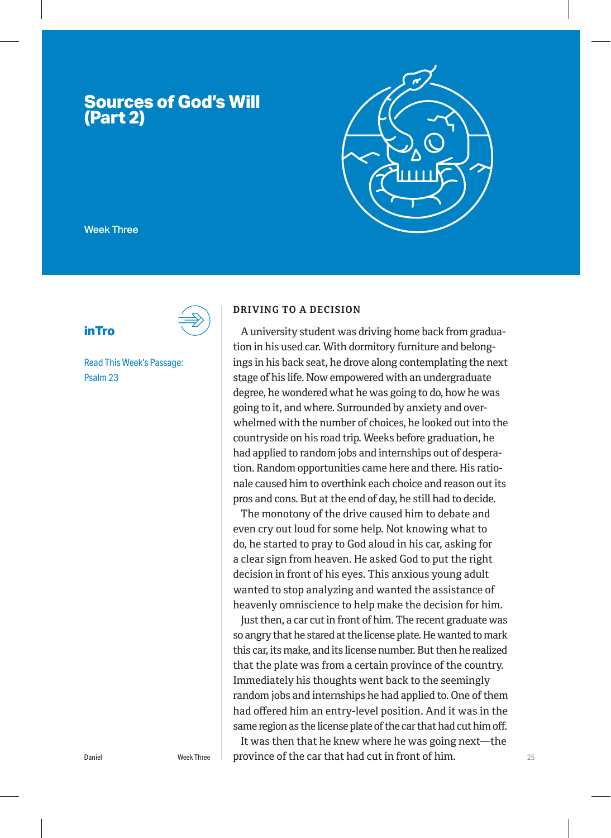# **Sources of God's Will (Part 2)**



Week Three

**inTro**



Read This Week's Passage: Psalm 23

#### **DRIVING TO A DECISION**

A university student was driving home back from graduation in his used car. With dormitory furniture and belongings in his back seat, he drove along contemplating the next stage of his life. Now empowered with an undergraduate degree, he wondered what he was going to do, how he was going to it, and where. Surrounded by anxiety and overwhelmed with the number of choices, he looked out into the countryside on his road trip. Weeks before graduation, he had applied to random jobs and internships out of desperation. Random opportunities came here and there. His rationale caused him to overthink each choice and reason out its pros and cons. But at the end of day, he still had to decide.

The monotony of the drive caused him to debate and even cry out loud for some help. Not knowing what to do, he started to pray to God aloud in his car, asking for a clear sign from heaven. He asked God to put the right decision in front of his eyes. This anxious young adult wanted to stop analyzing and wanted the assistance of heavenly omniscience to help make the decision for him.

Just then, a car cut in front of him. The recent graduate was so angry that he stared at the license plate. He wanted to mark this car, its make, and its license number. But then he realized that the plate was from a certain province of the country. Immediately his thoughts went back to the seemingly random jobs and internships he had applied to. One of them had offered him an entry-level position. And it was in the same region as the license plate of the car that had cut him off.

Daniel **Example 3** Week Three **Deprovince of the car that had cut in front of him.**  $25$ It was then that he knew where he was going next—the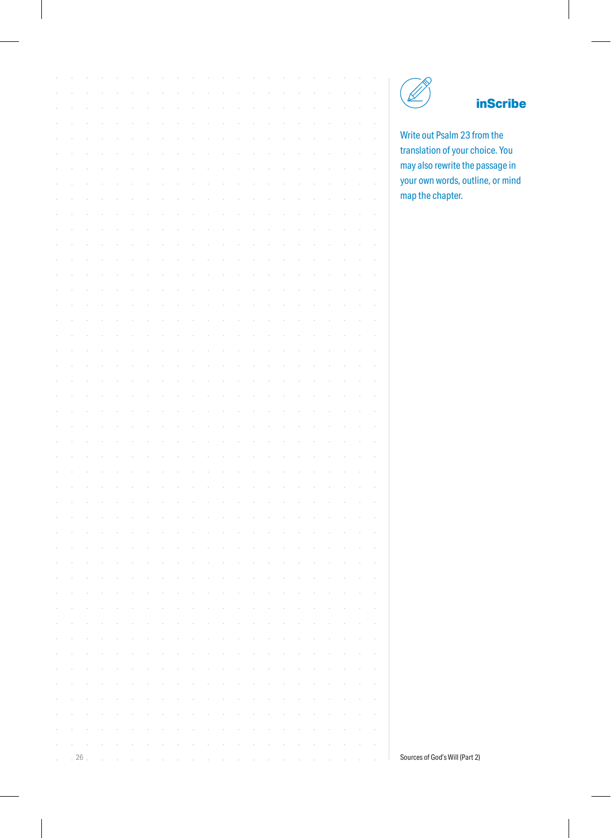### **inScribe**

Write out Psalm 23 from the translation of your choice. You may also rewrite the passage in your own words, outline, or mind map the chapter.

|            |                                                                                                                                                                                                                                |        |        |        |        | $\epsilon$ |        |                          | $\epsilon$ |        | $\epsilon$        |        |        |        |        |        |        |        |        |        |            |
|------------|--------------------------------------------------------------------------------------------------------------------------------------------------------------------------------------------------------------------------------|--------|--------|--------|--------|------------|--------|--------------------------|------------|--------|-------------------|--------|--------|--------|--------|--------|--------|--------|--------|--------|------------|
|            |                                                                                                                                                                                                                                |        |        |        |        |            |        |                          |            |        |                   |        |        |        |        |        |        |        |        |        |            |
|            |                                                                                                                                                                                                                                |        |        |        |        |            |        |                          |            |        |                   |        |        |        |        |        |        |        |        |        |            |
|            |                                                                                                                                                                                                                                |        |        |        |        |            |        |                          |            |        |                   |        |        |        |        |        |        |        |        |        |            |
|            |                                                                                                                                                                                                                                |        |        |        |        |            |        |                          |            |        |                   |        |        |        |        |        |        |        |        |        |            |
|            |                                                                                                                                                                                                                                |        |        |        |        |            |        |                          |            |        |                   |        |        |        |        |        |        |        |        |        |            |
|            |                                                                                                                                                                                                                                |        |        |        |        |            |        |                          |            |        |                   |        |        |        |        |        |        |        |        |        |            |
|            |                                                                                                                                                                                                                                |        |        |        |        |            |        |                          |            |        |                   |        |        |        |        |        |        |        |        |        |            |
|            |                                                                                                                                                                                                                                |        |        |        |        |            |        |                          |            |        |                   |        |        |        |        |        |        |        |        |        |            |
|            |                                                                                                                                                                                                                                |        |        |        |        |            |        |                          |            |        |                   |        |        |        |        |        |        |        |        |        |            |
|            |                                                                                                                                                                                                                                |        |        |        |        |            |        |                          |            |        |                   |        |        |        |        |        |        |        |        |        |            |
|            |                                                                                                                                                                                                                                |        |        |        |        |            |        |                          |            |        |                   |        |        |        |        |        |        |        |        |        |            |
|            |                                                                                                                                                                                                                                |        |        |        |        |            |        |                          |            |        |                   |        |        |        |        |        |        |        |        |        |            |
|            |                                                                                                                                                                                                                                |        |        |        |        |            |        |                          |            |        |                   |        |        |        |        |        |        |        |        |        |            |
|            |                                                                                                                                                                                                                                |        |        |        |        |            |        |                          |            |        |                   |        |        |        |        |        |        |        |        |        |            |
|            |                                                                                                                                                                                                                                |        |        |        |        |            |        |                          |            |        |                   |        |        |        |        |        |        |        |        |        |            |
|            |                                                                                                                                                                                                                                |        |        |        |        |            |        |                          |            |        |                   |        |        |        |        |        |        |        |        |        |            |
|            |                                                                                                                                                                                                                                |        |        |        |        |            |        |                          |            |        |                   |        |        |        |        |        |        |        |        |        |            |
|            |                                                                                                                                                                                                                                |        |        |        |        |            |        |                          |            |        |                   |        |        |        |        |        |        |        |        |        |            |
|            |                                                                                                                                                                                                                                |        |        |        |        |            |        |                          |            |        |                   |        |        |        |        |        |        |        |        |        |            |
|            |                                                                                                                                                                                                                                |        |        |        |        |            |        |                          |            |        |                   |        |        |        |        |        |        |        |        |        |            |
|            |                                                                                                                                                                                                                                |        |        |        |        |            |        |                          |            |        |                   |        |        |        |        |        |        |        |        |        |            |
|            |                                                                                                                                                                                                                                |        |        |        |        |            |        |                          |            |        |                   |        |        |        |        |        |        |        |        |        |            |
|            |                                                                                                                                                                                                                                |        |        |        |        |            |        |                          |            |        |                   |        |        |        |        |        |        |        |        |        |            |
|            |                                                                                                                                                                                                                                |        |        |        |        |            |        |                          |            |        |                   |        |        |        |        |        |        |        |        |        |            |
|            |                                                                                                                                                                                                                                |        |        |        |        |            |        |                          |            |        |                   |        |        |        |        |        |        |        |        |        |            |
|            |                                                                                                                                                                                                                                |        |        |        |        |            |        |                          |            |        |                   |        |        |        |        |        |        |        |        |        |            |
|            |                                                                                                                                                                                                                                |        |        |        |        |            |        |                          |            |        |                   |        |        |        |        |        |        |        |        |        |            |
|            |                                                                                                                                                                                                                                |        |        |        |        |            |        |                          |            |        |                   |        |        |        |        |        |        |        |        |        |            |
|            |                                                                                                                                                                                                                                |        |        |        |        |            |        |                          |            |        |                   |        |        |        |        |        |        |        |        |        |            |
|            |                                                                                                                                                                                                                                |        |        |        |        |            |        |                          |            |        |                   |        |        |        |        |        |        |        |        |        |            |
|            |                                                                                                                                                                                                                                |        |        |        |        |            |        |                          |            |        |                   |        |        |        |        |        |        |        |        |        |            |
|            |                                                                                                                                                                                                                                |        |        |        |        |            |        |                          |            |        |                   |        |        |        |        |        |        |        |        |        |            |
|            |                                                                                                                                                                                                                                |        |        |        |        |            |        |                          |            |        |                   |        |        |        |        |        |        |        |        |        |            |
|            |                                                                                                                                                                                                                                |        |        |        |        |            |        |                          |            |        |                   |        |        |        |        |        |        |        |        |        |            |
| $\sim$     | $\sim$                                                                                                                                                                                                                         | $\sim$ | $\sim$ | $\sim$ | $\sim$ | $\sim$     | $\sim$ | <b>Contract Contract</b> |            | $\sim$ | <b>Contractor</b> |        | $\sim$ | $\sim$ | $\sim$ | $\sim$ | $\sim$ | $\sim$ | $\sim$ | $\sim$ | $\sim$     |
| $\bar{z}$  | $\sim$                                                                                                                                                                                                                         | $\sim$ | $\sim$ | $\sim$ | $\sim$ | $\sim$     | $\sim$ | <b>Contract Contract</b> |            | $\sim$ | $\sim$            | $\sim$ | $\sim$ | $\sim$ | $\sim$ | $\sim$ | $\sim$ | $\sim$ | $\sim$ | $\sim$ | $\epsilon$ |
| $\bar{z}$  | $\sim$                                                                                                                                                                                                                         | $\sim$ | $\sim$ | $\sim$ | $\sim$ | $\sim$     | $\sim$ | $\sim$                   | $\sim$     | $\sim$ | $\sim$            | $\sim$ | $\sim$ | $\sim$ | $\sim$ | $\sim$ | $\sim$ | $\sim$ | $\sim$ | $\sim$ | $\epsilon$ |
| $\epsilon$ | $\sim$                                                                                                                                                                                                                         | $\sim$ | $\sim$ | $\sim$ | $\sim$ | $\sim$     | $\sim$ | $\sim$                   | $\sim$     | $\sim$ | $\sim$            | $\sim$ | $\sim$ | $\sim$ | $\sim$ | $\sim$ | $\sim$ | $\sim$ | $\sim$ | $\sim$ | $\bar{z}$  |
| $\epsilon$ | $\sim$                                                                                                                                                                                                                         | $\sim$ | $\sim$ | $\sim$ | $\sim$ | $\sim$     | $\sim$ | $\sim$                   | $\sim$     | $\sim$ | $\sim$            | $\sim$ | $\sim$ | $\sim$ | $\sim$ | $\sim$ | $\sim$ | $\sim$ | $\sim$ | $\sim$ | $\bar{z}$  |
| $\epsilon$ | $\sim$                                                                                                                                                                                                                         | $\sim$ | $\sim$ | $\sim$ | $\sim$ | $\sim$     | $\sim$ | $\sim$                   | $\sim$     | $\sim$ | $\sim$            | $\sim$ | $\sim$ | $\sim$ | $\sim$ | $\sim$ | $\sim$ | $\sim$ | $\sim$ | $\sim$ | $\sim$     |
| $\,$       | $\sim$                                                                                                                                                                                                                         | $\sim$ | $\sim$ | $\sim$ | $\sim$ | $\sim$     | $\sim$ | $\sim$                   | $\sim$     | $\sim$ | $\sim$            | $\sim$ | $\sim$ | $\sim$ | $\sim$ | $\sim$ | $\sim$ | $\sim$ | $\sim$ | $\sim$ | $\sim$     |
| $\epsilon$ | and the company of the company of the company of the company of the company of the company of the company of the company of the company of the company of the company of the company of the company of the company of the comp |        |        |        |        |            |        |                          |            |        |                   |        |        |        |        |        |        |        |        |        |            |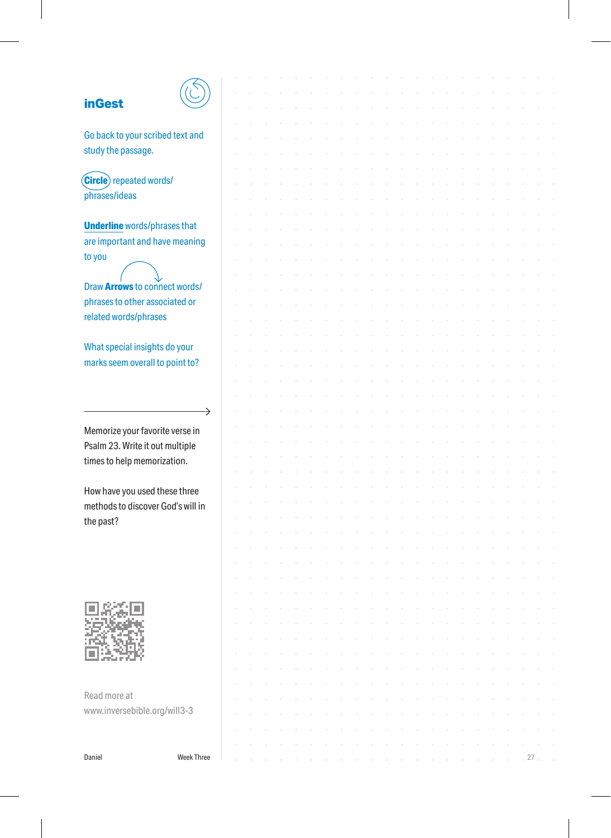| <b>inGest</b>                       |  |  |  |  |  |  |  |  |  |        |  |
|-------------------------------------|--|--|--|--|--|--|--|--|--|--------|--|
|                                     |  |  |  |  |  |  |  |  |  |        |  |
| Go back to your scribed text and    |  |  |  |  |  |  |  |  |  |        |  |
| study the passage.                  |  |  |  |  |  |  |  |  |  |        |  |
|                                     |  |  |  |  |  |  |  |  |  |        |  |
| (Circle) repeated words/            |  |  |  |  |  |  |  |  |  |        |  |
| phrases/ideas                       |  |  |  |  |  |  |  |  |  |        |  |
|                                     |  |  |  |  |  |  |  |  |  |        |  |
| <b>Underline</b> words/phrases that |  |  |  |  |  |  |  |  |  |        |  |
| are important and have meaning      |  |  |  |  |  |  |  |  |  |        |  |
|                                     |  |  |  |  |  |  |  |  |  |        |  |
| to you                              |  |  |  |  |  |  |  |  |  |        |  |
|                                     |  |  |  |  |  |  |  |  |  |        |  |
| Draw Arrows to connect words/       |  |  |  |  |  |  |  |  |  |        |  |
| phrases to other associated or      |  |  |  |  |  |  |  |  |  |        |  |
| related words/phrases               |  |  |  |  |  |  |  |  |  |        |  |
|                                     |  |  |  |  |  |  |  |  |  |        |  |
| What special insights do your       |  |  |  |  |  |  |  |  |  |        |  |
| marks seem overall to point to?     |  |  |  |  |  |  |  |  |  |        |  |
|                                     |  |  |  |  |  |  |  |  |  |        |  |
|                                     |  |  |  |  |  |  |  |  |  |        |  |
| →                                   |  |  |  |  |  |  |  |  |  |        |  |
|                                     |  |  |  |  |  |  |  |  |  |        |  |
| Memorize your favorite verse in     |  |  |  |  |  |  |  |  |  |        |  |
| Psalm 23. Write it out multiple     |  |  |  |  |  |  |  |  |  |        |  |
| times to help memorization.         |  |  |  |  |  |  |  |  |  |        |  |
|                                     |  |  |  |  |  |  |  |  |  |        |  |
| How have you used these three       |  |  |  |  |  |  |  |  |  |        |  |
| methods to discover God's will in   |  |  |  |  |  |  |  |  |  |        |  |
| the past?                           |  |  |  |  |  |  |  |  |  |        |  |
|                                     |  |  |  |  |  |  |  |  |  |        |  |
|                                     |  |  |  |  |  |  |  |  |  |        |  |
|                                     |  |  |  |  |  |  |  |  |  |        |  |
|                                     |  |  |  |  |  |  |  |  |  |        |  |
|                                     |  |  |  |  |  |  |  |  |  |        |  |
|                                     |  |  |  |  |  |  |  |  |  |        |  |
|                                     |  |  |  |  |  |  |  |  |  |        |  |
|                                     |  |  |  |  |  |  |  |  |  |        |  |
|                                     |  |  |  |  |  |  |  |  |  |        |  |
|                                     |  |  |  |  |  |  |  |  |  |        |  |
|                                     |  |  |  |  |  |  |  |  |  |        |  |
| Read more at                        |  |  |  |  |  |  |  |  |  |        |  |
| www.inversebible.org/will3-3        |  |  |  |  |  |  |  |  |  |        |  |
|                                     |  |  |  |  |  |  |  |  |  |        |  |
|                                     |  |  |  |  |  |  |  |  |  |        |  |
| <b>Week Three</b><br>Daniel         |  |  |  |  |  |  |  |  |  | $27$ . |  |
|                                     |  |  |  |  |  |  |  |  |  |        |  |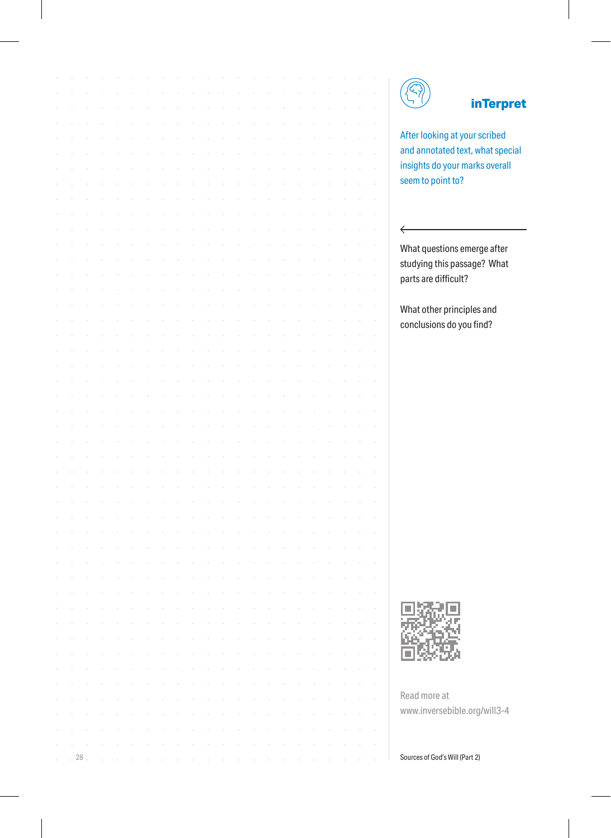### **inTerpret**

After looking at your scribed and annotated text, what special insights do your marks overall seem to point to?

 $\leftarrow$ 

What questions emerge after studying this passage? What parts are difficult?

What other principles and conclusions do you find?



Read more at www.inversebible.org/will3-4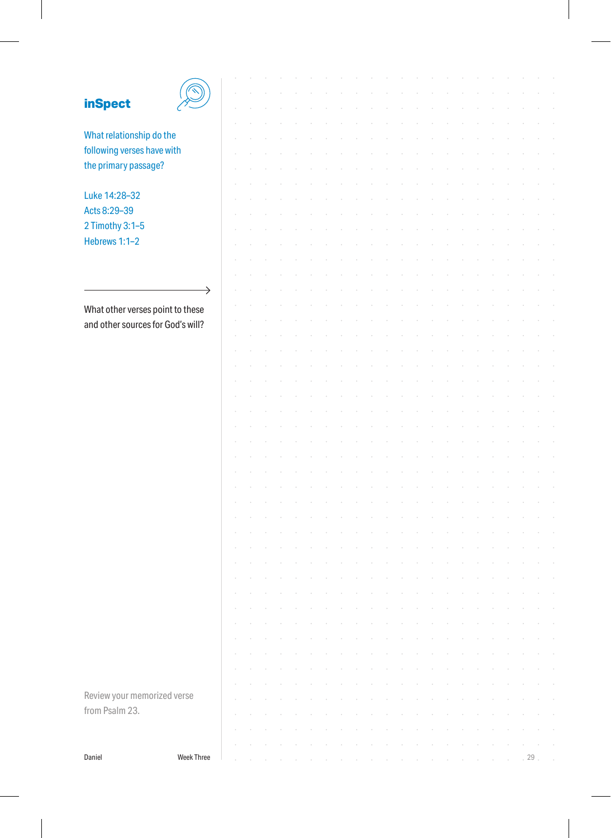## **inSpe**

 $\overline{\phantom{a}}$ 

| <b>inSpect</b>                    |                   |  |  |  |  |  |  |  |  |  |  |    |  |
|-----------------------------------|-------------------|--|--|--|--|--|--|--|--|--|--|----|--|
|                                   |                   |  |  |  |  |  |  |  |  |  |  |    |  |
| What relationship do the          |                   |  |  |  |  |  |  |  |  |  |  |    |  |
| following verses have with        |                   |  |  |  |  |  |  |  |  |  |  |    |  |
| the primary passage?              |                   |  |  |  |  |  |  |  |  |  |  |    |  |
|                                   |                   |  |  |  |  |  |  |  |  |  |  |    |  |
| Luke 14:28-32                     |                   |  |  |  |  |  |  |  |  |  |  |    |  |
| Acts 8:29-39                      |                   |  |  |  |  |  |  |  |  |  |  |    |  |
| 2 Timothy 3:1-5                   |                   |  |  |  |  |  |  |  |  |  |  |    |  |
| Hebrews 1:1-2                     |                   |  |  |  |  |  |  |  |  |  |  |    |  |
|                                   |                   |  |  |  |  |  |  |  |  |  |  |    |  |
|                                   |                   |  |  |  |  |  |  |  |  |  |  |    |  |
|                                   |                   |  |  |  |  |  |  |  |  |  |  |    |  |
|                                   | $\rightarrow$     |  |  |  |  |  |  |  |  |  |  |    |  |
| What other verses point to these  |                   |  |  |  |  |  |  |  |  |  |  |    |  |
| and other sources for God's will? |                   |  |  |  |  |  |  |  |  |  |  |    |  |
|                                   |                   |  |  |  |  |  |  |  |  |  |  |    |  |
|                                   |                   |  |  |  |  |  |  |  |  |  |  |    |  |
|                                   |                   |  |  |  |  |  |  |  |  |  |  |    |  |
|                                   |                   |  |  |  |  |  |  |  |  |  |  |    |  |
|                                   |                   |  |  |  |  |  |  |  |  |  |  |    |  |
|                                   |                   |  |  |  |  |  |  |  |  |  |  |    |  |
|                                   |                   |  |  |  |  |  |  |  |  |  |  |    |  |
|                                   |                   |  |  |  |  |  |  |  |  |  |  |    |  |
|                                   |                   |  |  |  |  |  |  |  |  |  |  |    |  |
|                                   |                   |  |  |  |  |  |  |  |  |  |  |    |  |
|                                   |                   |  |  |  |  |  |  |  |  |  |  |    |  |
|                                   |                   |  |  |  |  |  |  |  |  |  |  |    |  |
|                                   |                   |  |  |  |  |  |  |  |  |  |  |    |  |
|                                   |                   |  |  |  |  |  |  |  |  |  |  |    |  |
|                                   |                   |  |  |  |  |  |  |  |  |  |  |    |  |
|                                   |                   |  |  |  |  |  |  |  |  |  |  |    |  |
|                                   |                   |  |  |  |  |  |  |  |  |  |  |    |  |
|                                   |                   |  |  |  |  |  |  |  |  |  |  |    |  |
|                                   |                   |  |  |  |  |  |  |  |  |  |  |    |  |
|                                   |                   |  |  |  |  |  |  |  |  |  |  |    |  |
|                                   |                   |  |  |  |  |  |  |  |  |  |  |    |  |
|                                   |                   |  |  |  |  |  |  |  |  |  |  |    |  |
|                                   |                   |  |  |  |  |  |  |  |  |  |  |    |  |
|                                   |                   |  |  |  |  |  |  |  |  |  |  |    |  |
|                                   |                   |  |  |  |  |  |  |  |  |  |  |    |  |
|                                   |                   |  |  |  |  |  |  |  |  |  |  |    |  |
| Review your memorized verse       |                   |  |  |  |  |  |  |  |  |  |  |    |  |
| from Psalm 23.                    |                   |  |  |  |  |  |  |  |  |  |  |    |  |
|                                   |                   |  |  |  |  |  |  |  |  |  |  |    |  |
|                                   |                   |  |  |  |  |  |  |  |  |  |  |    |  |
| Daniel                            | <b>Week Three</b> |  |  |  |  |  |  |  |  |  |  | 29 |  |

 $\overline{\phantom{a}}$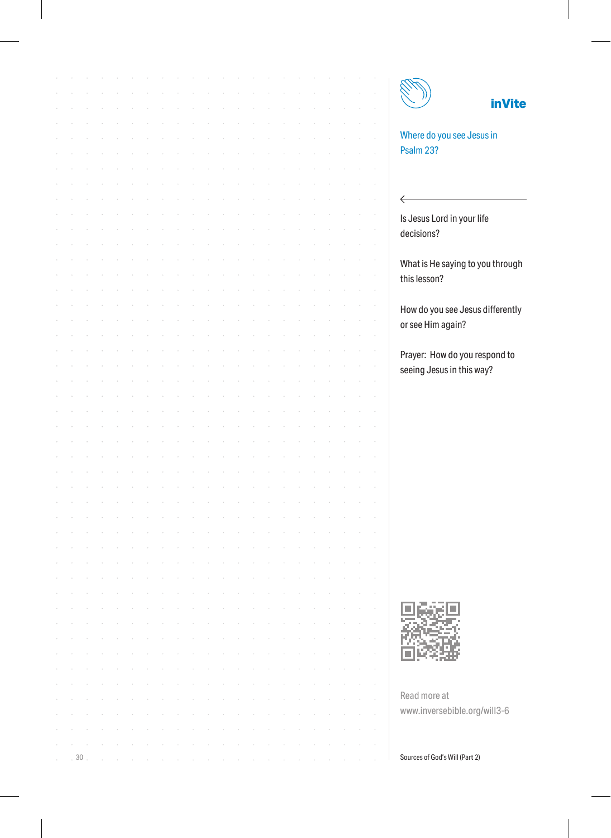$\leftarrow$ 

#### **inVite**

Where do you see Jesus in Psalm 23?

Is Jesus Lord in your life decisions?

What is He saying to you through this lesson?

How do you see Jesus differently or see Him again?

Prayer: How do you respond to seeing Jesus in this way?



Read more at www.inversebible.org/will3-6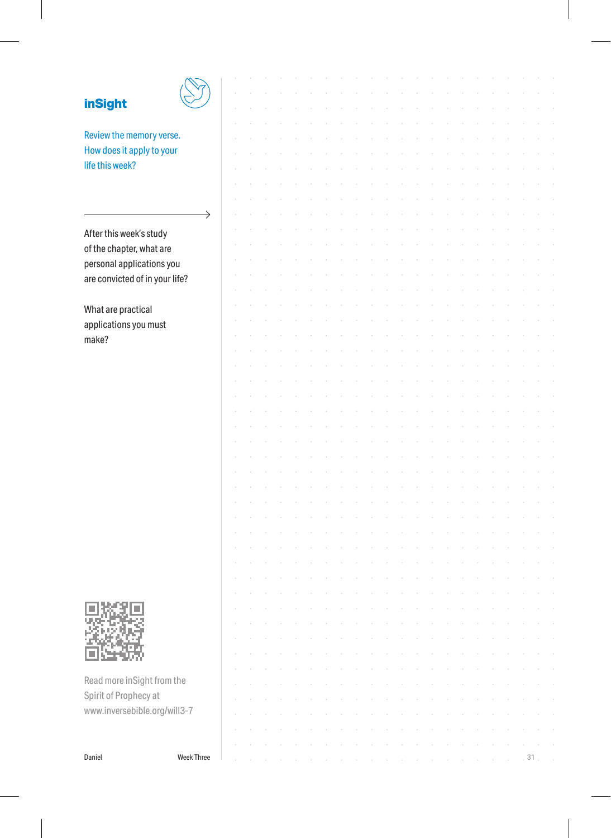| $\frac{1}{2}$<br>ŋ, |  |
|---------------------|--|

Review the memory verse.  $H<sub>0</sub>$ life

| How does it apply to your      |                   |  |  |  |  |  |  |  |  |  |    |  |
|--------------------------------|-------------------|--|--|--|--|--|--|--|--|--|----|--|
| life this week?                |                   |  |  |  |  |  |  |  |  |  |    |  |
|                                |                   |  |  |  |  |  |  |  |  |  |    |  |
|                                |                   |  |  |  |  |  |  |  |  |  |    |  |
|                                | →                 |  |  |  |  |  |  |  |  |  |    |  |
| After this week's study        |                   |  |  |  |  |  |  |  |  |  |    |  |
| of the chapter, what are       |                   |  |  |  |  |  |  |  |  |  |    |  |
| personal applications you      |                   |  |  |  |  |  |  |  |  |  |    |  |
| are convicted of in your life? |                   |  |  |  |  |  |  |  |  |  |    |  |
|                                |                   |  |  |  |  |  |  |  |  |  |    |  |
| What are practical             |                   |  |  |  |  |  |  |  |  |  |    |  |
| applications you must          |                   |  |  |  |  |  |  |  |  |  |    |  |
| make?                          |                   |  |  |  |  |  |  |  |  |  |    |  |
|                                |                   |  |  |  |  |  |  |  |  |  |    |  |
|                                |                   |  |  |  |  |  |  |  |  |  |    |  |
|                                |                   |  |  |  |  |  |  |  |  |  |    |  |
|                                |                   |  |  |  |  |  |  |  |  |  |    |  |
|                                |                   |  |  |  |  |  |  |  |  |  |    |  |
|                                |                   |  |  |  |  |  |  |  |  |  |    |  |
|                                |                   |  |  |  |  |  |  |  |  |  |    |  |
|                                |                   |  |  |  |  |  |  |  |  |  |    |  |
|                                |                   |  |  |  |  |  |  |  |  |  |    |  |
|                                |                   |  |  |  |  |  |  |  |  |  |    |  |
|                                |                   |  |  |  |  |  |  |  |  |  |    |  |
|                                |                   |  |  |  |  |  |  |  |  |  |    |  |
|                                |                   |  |  |  |  |  |  |  |  |  |    |  |
|                                |                   |  |  |  |  |  |  |  |  |  |    |  |
|                                |                   |  |  |  |  |  |  |  |  |  |    |  |
|                                |                   |  |  |  |  |  |  |  |  |  |    |  |
|                                |                   |  |  |  |  |  |  |  |  |  |    |  |
|                                |                   |  |  |  |  |  |  |  |  |  |    |  |
|                                |                   |  |  |  |  |  |  |  |  |  |    |  |
|                                |                   |  |  |  |  |  |  |  |  |  |    |  |
|                                |                   |  |  |  |  |  |  |  |  |  |    |  |
| Read more inSight from the     |                   |  |  |  |  |  |  |  |  |  |    |  |
|                                |                   |  |  |  |  |  |  |  |  |  |    |  |
| Spirit of Prophecy at          |                   |  |  |  |  |  |  |  |  |  |    |  |
| www.inversebible.org/will3-7   |                   |  |  |  |  |  |  |  |  |  |    |  |
|                                |                   |  |  |  |  |  |  |  |  |  |    |  |
|                                |                   |  |  |  |  |  |  |  |  |  |    |  |
| Daniel                         | <b>Week Three</b> |  |  |  |  |  |  |  |  |  | 31 |  |